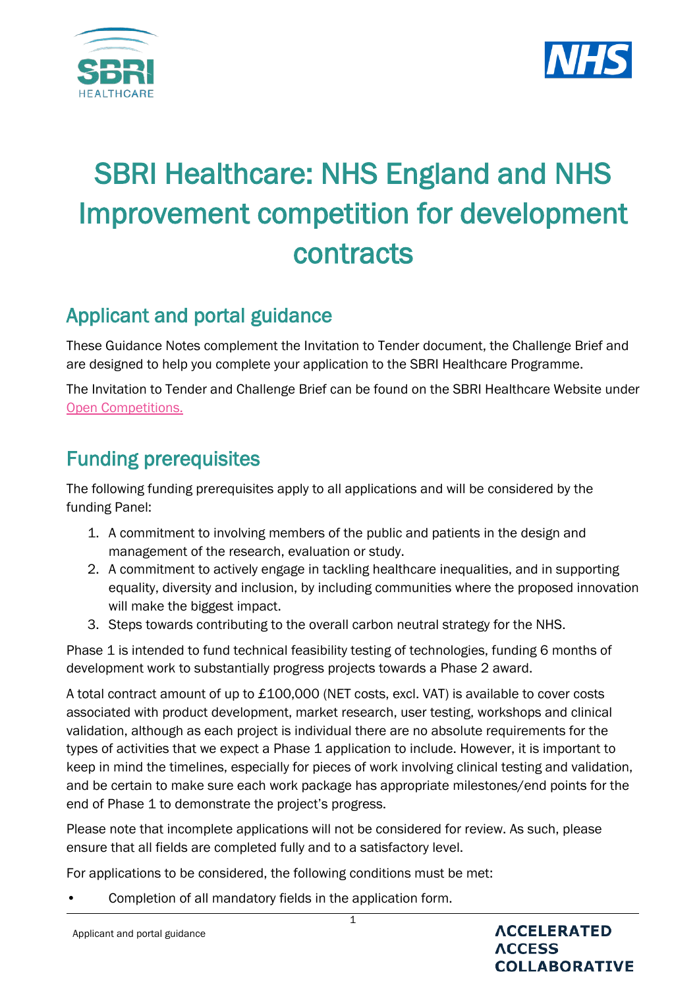



# SBRI Healthcare: NHS England and NHS Improvement competition for development contracts

# Applicant and portal guidance

These Guidance Notes complement the Invitation to Tender document, the Challenge Brief and are designed to help you complete your application to the SBRI Healthcare Programme.

The Invitation to Tender and Challenge Brief can be found on the SBRI Healthcare Website under [Open Competitions.](https://sbrihealthcare.co.uk/competitions/open-competitions/)

# Funding prerequisites

The following funding prerequisites apply to all applications and will be considered by the funding Panel:

- 1. A commitment to involving members of the public and patients in the design and management of the research, evaluation or study.
- 2. A commitment to actively engage in tackling healthcare inequalities, and in supporting equality, diversity and inclusion, by including communities where the proposed innovation will make the biggest impact.
- 3. Steps towards contributing to the overall carbon neutral strategy for the NHS.

Phase 1 is intended to fund technical feasibility testing of technologies, funding 6 months of development work to substantially progress projects towards a Phase 2 award.

A total contract amount of up to £100,000 (NET costs, excl. VAT) is available to cover costs associated with product development, market research, user testing, workshops and clinical validation, although as each project is individual there are no absolute requirements for the types of activities that we expect a Phase 1 application to include. However, it is important to keep in mind the timelines, especially for pieces of work involving clinical testing and validation, and be certain to make sure each work package has appropriate milestones/end points for the end of Phase 1 to demonstrate the project's progress.

Please note that incomplete applications will not be considered for review. As such, please ensure that all fields are completed fully and to a satisfactory level.

For applications to be considered, the following conditions must be met:

• Completion of all mandatory fields in the application form.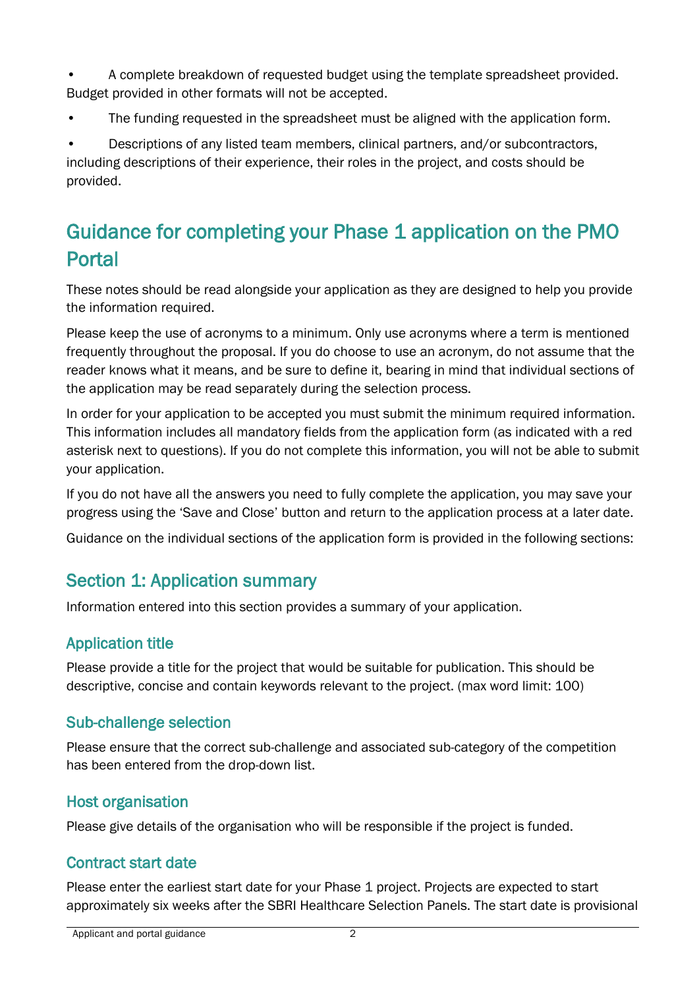• A complete breakdown of requested budget using the template spreadsheet provided. Budget provided in other formats will not be accepted.

• The funding requested in the spreadsheet must be aligned with the application form.

• Descriptions of any listed team members, clinical partners, and/or subcontractors, including descriptions of their experience, their roles in the project, and costs should be provided.

# Guidance for completing your Phase 1 application on the PMO Portal

These notes should be read alongside your application as they are designed to help you provide the information required.

Please keep the use of acronyms to a minimum. Only use acronyms where a term is mentioned frequently throughout the proposal. If you do choose to use an acronym, do not assume that the reader knows what it means, and be sure to define it, bearing in mind that individual sections of the application may be read separately during the selection process.

In order for your application to be accepted you must submit the minimum required information. This information includes all mandatory fields from the application form (as indicated with a red asterisk next to questions). If you do not complete this information, you will not be able to submit your application.

If you do not have all the answers you need to fully complete the application, you may save your progress using the 'Save and Close' button and return to the application process at a later date.

Guidance on the individual sections of the application form is provided in the following sections:

# Section 1: Application summary

Information entered into this section provides a summary of your application.

### Application title

Please provide a title for the project that would be suitable for publication. This should be descriptive, concise and contain keywords relevant to the project. (max word limit: 100)

#### Sub-challenge selection

Please ensure that the correct sub-challenge and associated sub-category of the competition has been entered from the drop-down list.

### Host organisation

Please give details of the organisation who will be responsible if the project is funded.

### Contract start date

Please enter the earliest start date for your Phase 1 project. Projects are expected to start approximately six weeks after the SBRI Healthcare Selection Panels. The start date is provisional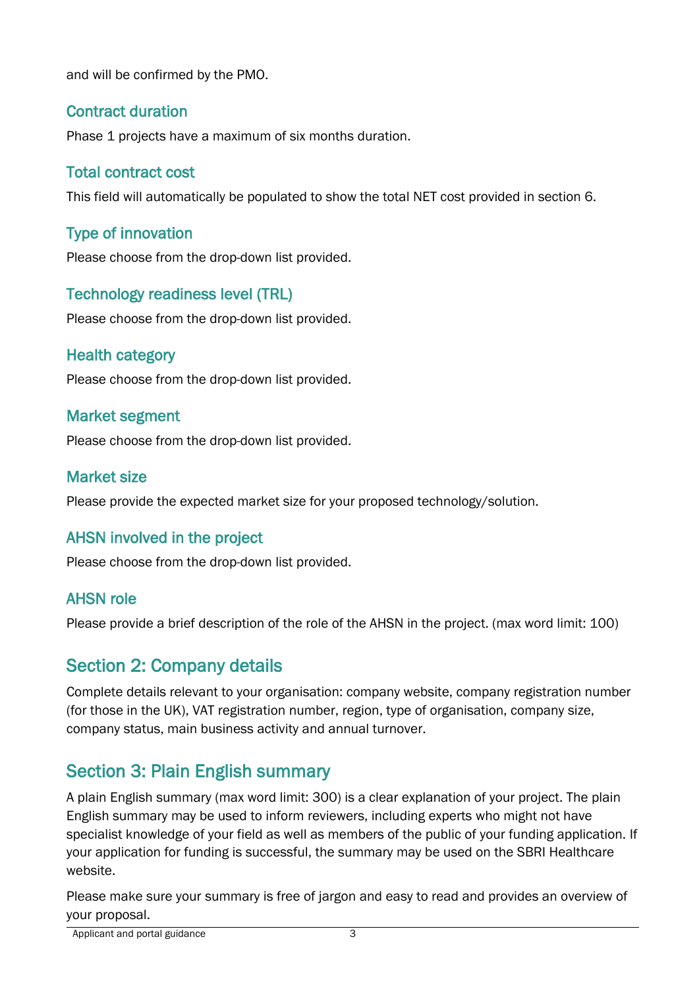and will be confirmed by the PMO.

### Contract duration

Phase 1 projects have a maximum of six months duration.

## Total contract cost

This field will automatically be populated to show the total NET cost provided in section 6.

## Type of innovation

Please choose from the drop-down list provided.

## Technology readiness level (TRL)

Please choose from the drop-down list provided.

#### Health category

Please choose from the drop-down list provided.

#### Market segment

Please choose from the drop-down list provided.

#### Market size

Please provide the expected market size for your proposed technology/solution.

### AHSN involved in the project

Please choose from the drop-down list provided.

### AHSN role

Please provide a brief description of the role of the AHSN in the project. (max word limit: 100)

# Section 2: Company details

Complete details relevant to your organisation: company website, company registration number (for those in the UK), VAT registration number, region, type of organisation, company size, company status, main business activity and annual turnover.

# Section 3: Plain English summary

A plain English summary (max word limit: 300) is a clear explanation of your project. The plain English summary may be used to inform reviewers, including experts who might not have specialist knowledge of your field as well as members of the public of your funding application. If your application for funding is successful, the summary may be used on the SBRI Healthcare website.

Please make sure your summary is free of jargon and easy to read and provides an overview of your proposal.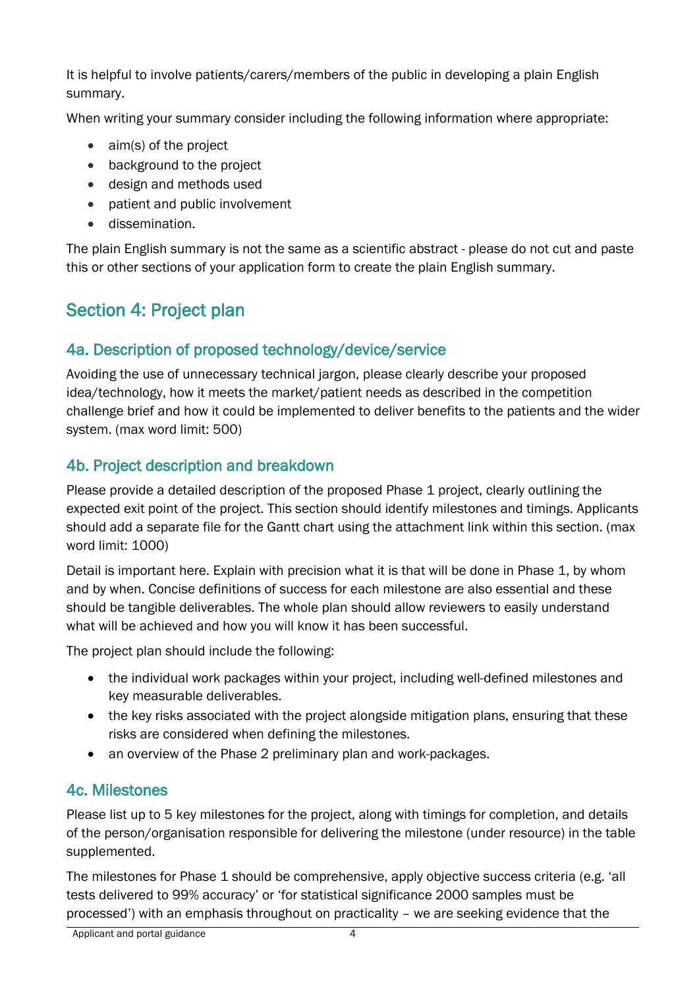It is helpful to involve patients/carers/members of the public in developing a plain English summary.

When writing your summary consider including the following information where appropriate:

- aim(s) of the project
- background to the project
- design and methods used
- patient and public involvement
- dissemination.

The plain English summary is not the same as a scientific abstract - please do not cut and paste this or other sections of your application form to create the plain English summary.

# Section 4: Project plan

# 4a. Description of proposed technology/device/service

Avoiding the use of unnecessary technical jargon, please clearly describe your proposed idea/technology, how it meets the market/patient needs as described in the competition challenge brief and how it could be implemented to deliver benefits to the patients and the wider system. (max word limit: 500)

# 4b. Project description and breakdown

Please provide a detailed description of the proposed Phase 1 project, clearly outlining the expected exit point of the project. This section should identify milestones and timings. Applicants should add a separate file for the Gantt chart using the attachment link within this section. (max word limit: 1000)

Detail is important here. Explain with precision what it is that will be done in Phase 1, by whom and by when. Concise definitions of success for each milestone are also essential and these should be tangible deliverables. The whole plan should allow reviewers to easily understand what will be achieved and how you will know it has been successful.

The project plan should include the following:

- the individual work packages within your project, including well-defined milestones and key measurable deliverables.
- the key risks associated with the project alongside mitigation plans, ensuring that these risks are considered when defining the milestones.
- an overview of the Phase 2 preliminary plan and work-packages.

# 4c. Milestones

Please list up to 5 key milestones for the project, along with timings for completion, and details of the person/organisation responsible for delivering the milestone (under resource) in the table supplemented.

The milestones for Phase 1 should be comprehensive, apply objective success criteria (e.g. 'all tests delivered to 99% accuracy' or 'for statistical significance 2000 samples must be processed') with an emphasis throughout on practicality – we are seeking evidence that the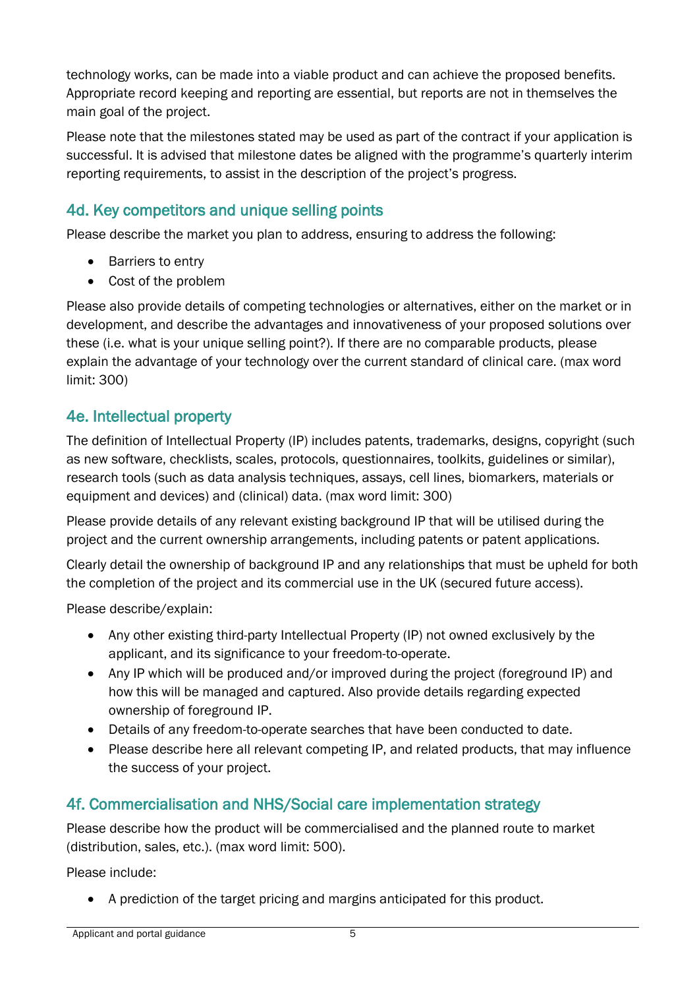technology works, can be made into a viable product and can achieve the proposed benefits. Appropriate record keeping and reporting are essential, but reports are not in themselves the main goal of the project.

Please note that the milestones stated may be used as part of the contract if your application is successful. It is advised that milestone dates be aligned with the programme's quarterly interim reporting requirements, to assist in the description of the project's progress.

# 4d. Key competitors and unique selling points

Please describe the market you plan to address, ensuring to address the following:

- Barriers to entry
- Cost of the problem

Please also provide details of competing technologies or alternatives, either on the market or in development, and describe the advantages and innovativeness of your proposed solutions over these (i.e. what is your unique selling point?). If there are no comparable products, please explain the advantage of your technology over the current standard of clinical care. (max word limit: 300)

## 4e. Intellectual property

The definition of Intellectual Property (IP) includes patents, trademarks, designs, copyright (such as new software, checklists, scales, protocols, questionnaires, toolkits, guidelines or similar), research tools (such as data analysis techniques, assays, cell lines, biomarkers, materials or equipment and devices) and (clinical) data. (max word limit: 300)

Please provide details of any relevant existing background IP that will be utilised during the project and the current ownership arrangements, including patents or patent applications.

Clearly detail the ownership of background IP and any relationships that must be upheld for both the completion of the project and its commercial use in the UK (secured future access).

Please describe/explain:

- Any other existing third-party Intellectual Property (IP) not owned exclusively by the applicant, and its significance to your freedom-to-operate.
- Any IP which will be produced and/or improved during the project (foreground IP) and how this will be managed and captured. Also provide details regarding expected ownership of foreground IP.
- Details of any freedom-to-operate searches that have been conducted to date.
- Please describe here all relevant competing IP, and related products, that may influence the success of your project.

# 4f. Commercialisation and NHS/Social care implementation strategy

Please describe how the product will be commercialised and the planned route to market (distribution, sales, etc.). (max word limit: 500).

Please include:

• A prediction of the target pricing and margins anticipated for this product.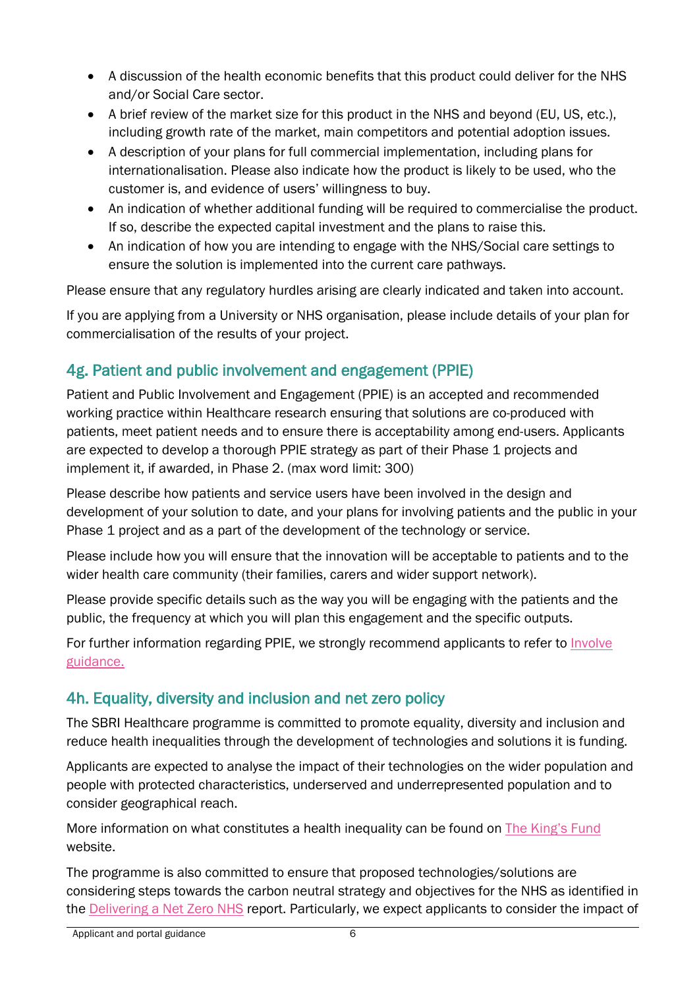- A discussion of the health economic benefits that this product could deliver for the NHS and/or Social Care sector.
- A brief review of the market size for this product in the NHS and beyond (EU, US, etc.), including growth rate of the market, main competitors and potential adoption issues.
- A description of your plans for full commercial implementation, including plans for internationalisation. Please also indicate how the product is likely to be used, who the customer is, and evidence of users' willingness to buy.
- An indication of whether additional funding will be required to commercialise the product. If so, describe the expected capital investment and the plans to raise this.
- An indication of how you are intending to engage with the NHS/Social care settings to ensure the solution is implemented into the current care pathways.

Please ensure that any regulatory hurdles arising are clearly indicated and taken into account.

If you are applying from a University or NHS organisation, please include details of your plan for commercialisation of the results of your project.

# 4g. Patient and public involvement and engagement (PPIE)

Patient and Public Involvement and Engagement (PPIE) is an accepted and recommended working practice within Healthcare research ensuring that solutions are co-produced with patients, meet patient needs and to ensure there is acceptability among end-users. Applicants are expected to develop a thorough PPIE strategy as part of their Phase 1 projects and implement it, if awarded, in Phase 2. (max word limit: 300)

Please describe how patients and service users have been involved in the design and development of your solution to date, and your plans for involving patients and the public in your Phase 1 project and as a part of the development of the technology or service.

Please include how you will ensure that the innovation will be acceptable to patients and to the wider health care community (their families, carers and wider support network).

Please provide specific details such as the way you will be engaging with the patients and the public, the frequency at which you will plan this engagement and the specific outputs.

For further information regarding PPIE, we strongly recommend applicants to refer to *Involve* [guidance.](https://www.invo.org.uk/resource-centre/resource-for-researchers/)

# 4h. Equality, diversity and inclusion and net zero policy

The SBRI Healthcare programme is committed to promote equality, diversity and inclusion and reduce health inequalities through the development of technologies and solutions it is funding.

Applicants are expected to analyse the impact of their technologies on the wider population and people with protected characteristics, underserved and underrepresented population and to consider geographical reach.

More information on what constitutes a health inequality can be found on [The King's Fund](https://www.kingsfund.org.uk/publications/what-are-health-inequalities) website.

The programme is also committed to ensure that proposed technologies/solutions are considering steps towards the carbon neutral strategy and objectives for the NHS as identified in the **Delivering a Net Zero NHS** report. Particularly, we expect applicants to consider the impact of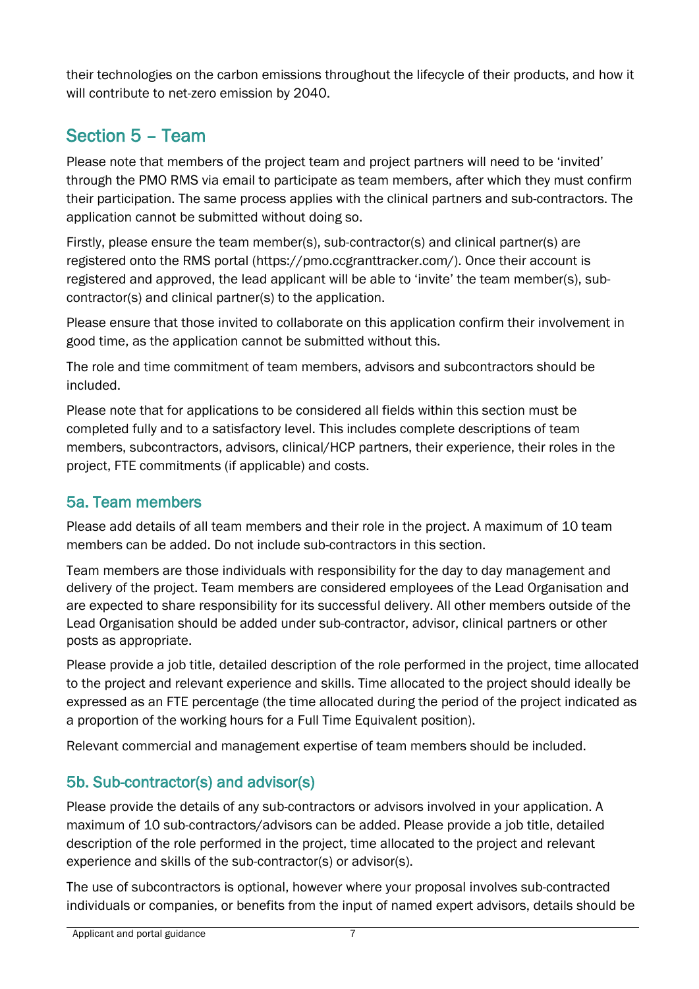their technologies on the carbon emissions throughout the lifecycle of their products, and how it will contribute to net-zero emission by 2040.

# Section 5 – Team

Please note that members of the project team and project partners will need to be 'invited' through the PMO RMS via email to participate as team members, after which they must confirm their participation. The same process applies with the clinical partners and sub-contractors. The application cannot be submitted without doing so.

Firstly, please ensure the team member(s), sub-contractor(s) and clinical partner(s) are registered onto the RMS portal (https://pmo.ccgranttracker.com/). Once their account is registered and approved, the lead applicant will be able to 'invite' the team member(s), subcontractor(s) and clinical partner(s) to the application.

Please ensure that those invited to collaborate on this application confirm their involvement in good time, as the application cannot be submitted without this.

The role and time commitment of team members, advisors and subcontractors should be included.

Please note that for applications to be considered all fields within this section must be completed fully and to a satisfactory level. This includes complete descriptions of team members, subcontractors, advisors, clinical/HCP partners, their experience, their roles in the project, FTE commitments (if applicable) and costs.

# 5a. Team members

Please add details of all team members and their role in the project. A maximum of 10 team members can be added. Do not include sub-contractors in this section.

Team members are those individuals with responsibility for the day to day management and delivery of the project. Team members are considered employees of the Lead Organisation and are expected to share responsibility for its successful delivery. All other members outside of the Lead Organisation should be added under sub-contractor, advisor, clinical partners or other posts as appropriate.

Please provide a job title, detailed description of the role performed in the project, time allocated to the project and relevant experience and skills. Time allocated to the project should ideally be expressed as an FTE percentage (the time allocated during the period of the project indicated as a proportion of the working hours for a Full Time Equivalent position).

Relevant commercial and management expertise of team members should be included.

# 5b. Sub-contractor(s) and advisor(s)

Please provide the details of any sub-contractors or advisors involved in your application. A maximum of 10 sub-contractors/advisors can be added. Please provide a job title, detailed description of the role performed in the project, time allocated to the project and relevant experience and skills of the sub-contractor(s) or advisor(s).

The use of subcontractors is optional, however where your proposal involves sub-contracted individuals or companies, or benefits from the input of named expert advisors, details should be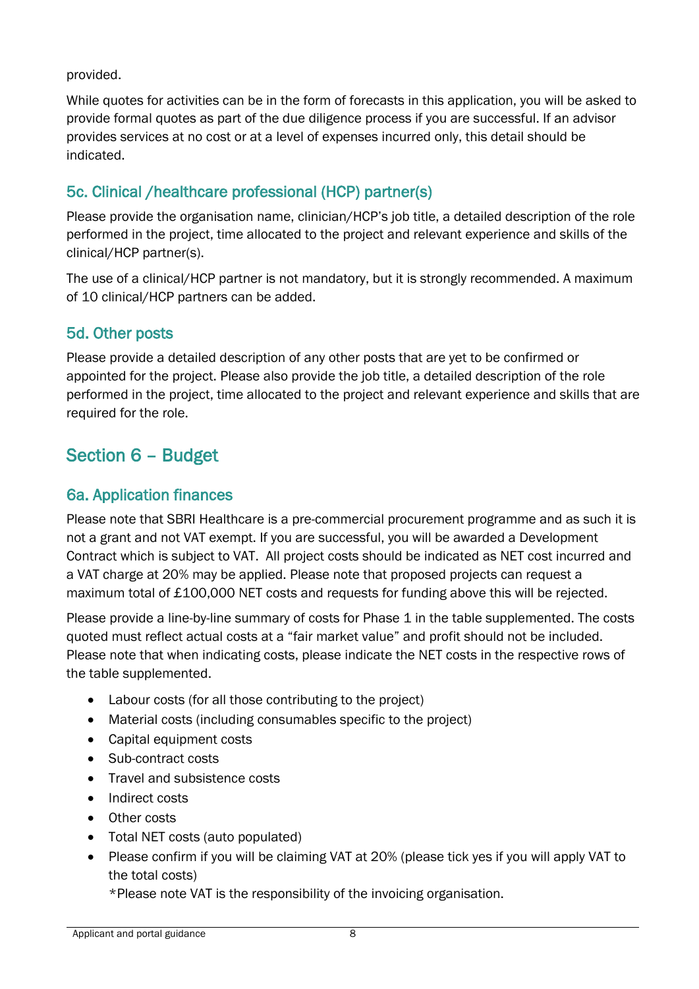provided.

While quotes for activities can be in the form of forecasts in this application, you will be asked to provide formal quotes as part of the due diligence process if you are successful. If an advisor provides services at no cost or at a level of expenses incurred only, this detail should be indicated.

# 5c. Clinical /healthcare professional (HCP) partner(s)

Please provide the organisation name, clinician/HCP's job title, a detailed description of the role performed in the project, time allocated to the project and relevant experience and skills of the clinical/HCP partner(s).

The use of a clinical/HCP partner is not mandatory, but it is strongly recommended. A maximum of 10 clinical/HCP partners can be added.

#### 5d. Other posts

Please provide a detailed description of any other posts that are yet to be confirmed or appointed for the project. Please also provide the job title, a detailed description of the role performed in the project, time allocated to the project and relevant experience and skills that are required for the role.

# Section 6 – Budget

### 6a. Application finances

Please note that SBRI Healthcare is a pre-commercial procurement programme and as such it is not a grant and not VAT exempt. If you are successful, you will be awarded a Development Contract which is subject to VAT. All project costs should be indicated as NET cost incurred and a VAT charge at 20% may be applied. Please note that proposed projects can request a maximum total of £100,000 NET costs and requests for funding above this will be rejected.

Please provide a line-by-line summary of costs for Phase 1 in the table supplemented. The costs quoted must reflect actual costs at a "fair market value" and profit should not be included. Please note that when indicating costs, please indicate the NET costs in the respective rows of the table supplemented.

- Labour costs (for all those contributing to the project)
- Material costs (including consumables specific to the project)
- Capital equipment costs
- Sub-contract costs
- Travel and subsistence costs
- Indirect costs
- Other costs
- Total NET costs (auto populated)
- Please confirm if you will be claiming VAT at 20% (please tick yes if you will apply VAT to the total costs)
	- \*Please note VAT is the responsibility of the invoicing organisation.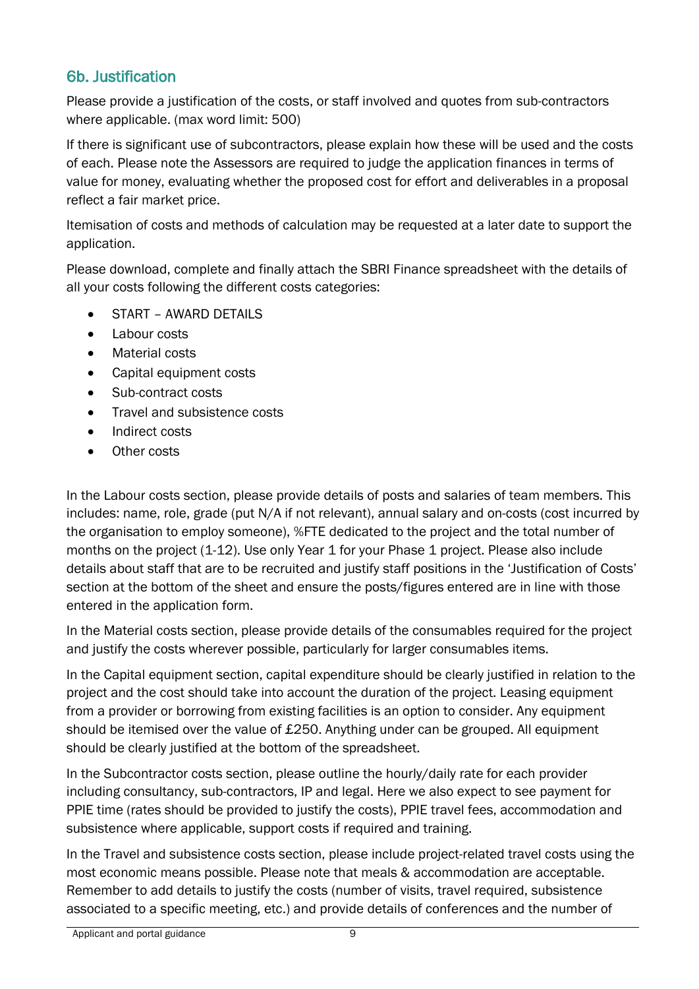## 6b. Justification

Please provide a justification of the costs, or staff involved and quotes from sub-contractors where applicable. (max word limit: 500)

If there is significant use of subcontractors, please explain how these will be used and the costs of each. Please note the Assessors are required to judge the application finances in terms of value for money, evaluating whether the proposed cost for effort and deliverables in a proposal reflect a fair market price.

Itemisation of costs and methods of calculation may be requested at a later date to support the application.

Please download, complete and finally attach the SBRI Finance spreadsheet with the details of all your costs following the different costs categories:

- START AWARD DETAILS
- Labour costs
- Material costs
- Capital equipment costs
- Sub-contract costs
- Travel and subsistence costs
- Indirect costs
- Other costs

In the Labour costs section, please provide details of posts and salaries of team members. This includes: name, role, grade (put N/A if not relevant), annual salary and on-costs (cost incurred by the organisation to employ someone), %FTE dedicated to the project and the total number of months on the project (1-12). Use only Year 1 for your Phase 1 project. Please also include details about staff that are to be recruited and justify staff positions in the 'Justification of Costs' section at the bottom of the sheet and ensure the posts/figures entered are in line with those entered in the application form.

In the Material costs section, please provide details of the consumables required for the project and justify the costs wherever possible, particularly for larger consumables items.

In the Capital equipment section, capital expenditure should be clearly justified in relation to the project and the cost should take into account the duration of the project. Leasing equipment from a provider or borrowing from existing facilities is an option to consider. Any equipment should be itemised over the value of £250. Anything under can be grouped. All equipment should be clearly justified at the bottom of the spreadsheet.

In the Subcontractor costs section, please outline the hourly/daily rate for each provider including consultancy, sub-contractors, IP and legal. Here we also expect to see payment for PPIE time (rates should be provided to justify the costs), PPIE travel fees, accommodation and subsistence where applicable, support costs if required and training.

In the Travel and subsistence costs section, please include project-related travel costs using the most economic means possible. Please note that meals & accommodation are acceptable. Remember to add details to justify the costs (number of visits, travel required, subsistence associated to a specific meeting, etc.) and provide details of conferences and the number of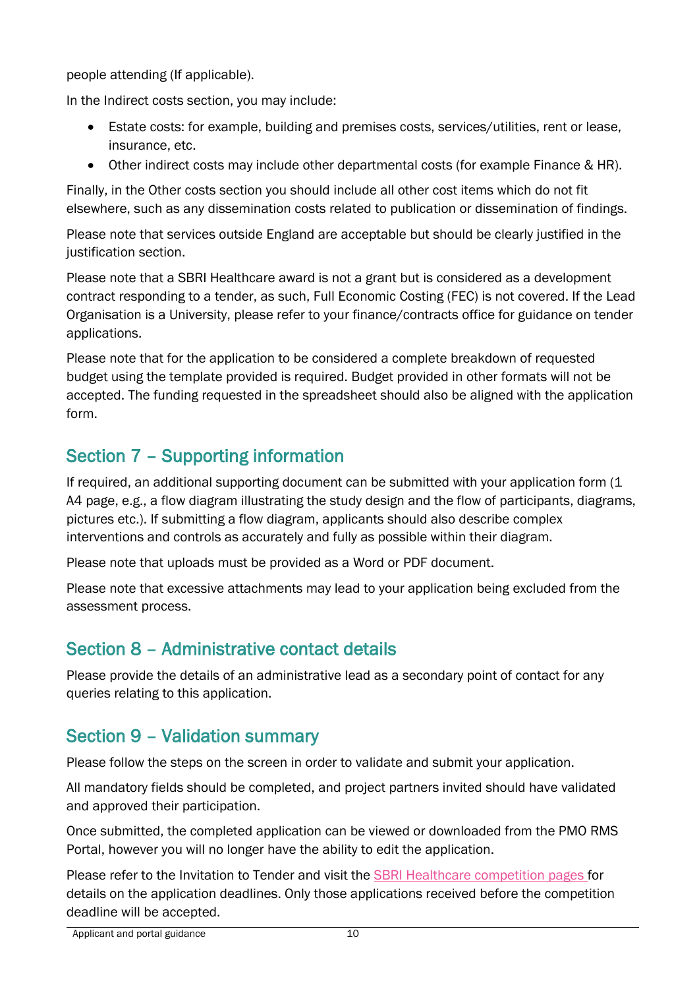people attending (If applicable).

In the Indirect costs section, you may include:

- Estate costs: for example, building and premises costs, services/utilities, rent or lease, insurance, etc.
- Other indirect costs may include other departmental costs (for example Finance & HR).

Finally, in the Other costs section you should include all other cost items which do not fit elsewhere, such as any dissemination costs related to publication or dissemination of findings.

Please note that services outside England are acceptable but should be clearly justified in the justification section.

Please note that a SBRI Healthcare award is not a grant but is considered as a development contract responding to a tender, as such, Full Economic Costing (FEC) is not covered. If the Lead Organisation is a University, please refer to your finance/contracts office for guidance on tender applications.

Please note that for the application to be considered a complete breakdown of requested budget using the template provided is required. Budget provided in other formats will not be accepted. The funding requested in the spreadsheet should also be aligned with the application form.

# Section 7 – Supporting information

If required, an additional supporting document can be submitted with your application form (1 A4 page, e.g., a flow diagram illustrating the study design and the flow of participants, diagrams, pictures etc.). If submitting a flow diagram, applicants should also describe complex interventions and controls as accurately and fully as possible within their diagram.

Please note that uploads must be provided as a Word or PDF document.

Please note that excessive attachments may lead to your application being excluded from the assessment process.

# Section 8 – Administrative contact details

Please provide the details of an administrative lead as a secondary point of contact for any queries relating to this application.

# Section 9 – Validation summary

Please follow the steps on the screen in order to validate and submit your application.

All mandatory fields should be completed, and project partners invited should have validated and approved their participation.

Once submitted, the completed application can be viewed or downloaded from the PMO RMS Portal, however you will no longer have the ability to edit the application.

Please refer to the Invitation to Tender and visit the [SBRI Healthcare competition pages](https://sbrihealthcare.co.uk/competitions/open-competitions/) for details on the application deadlines. Only those applications received before the competition deadline will be accepted.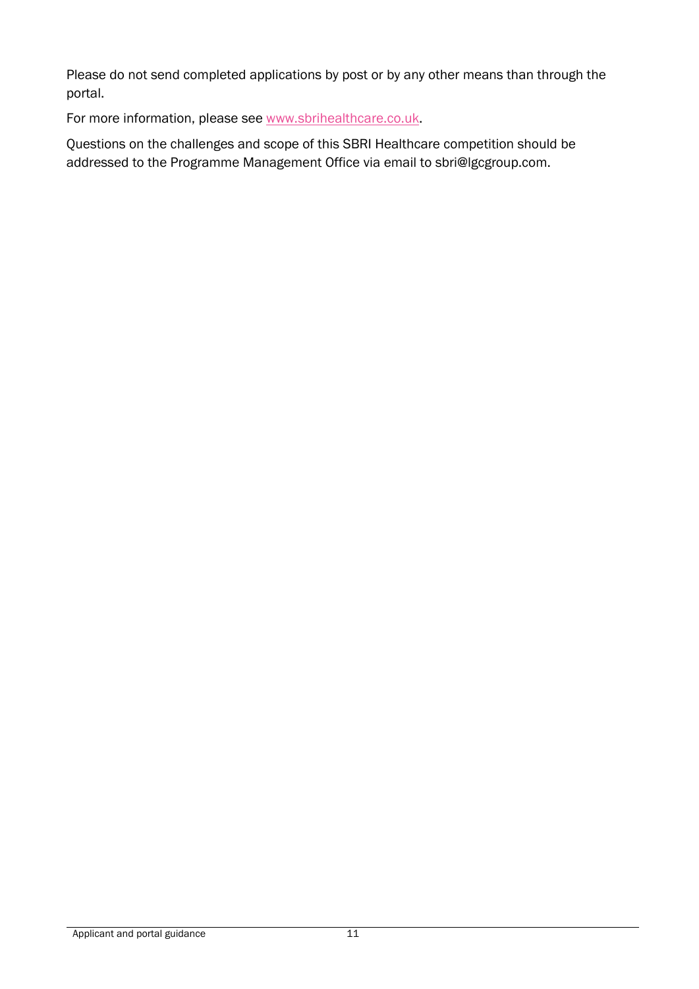Please do not send completed applications by post or by any other means than through the portal.

For more information, please see [www.sbrihealthcare.co.uk.](http://www.sbrihealthcare.co.uk/)

Questions on the challenges and scope of this SBRI Healthcare competition should be addressed to the Programme Management Office via email to [sbri@lgcgroup.com.](mailto:sbri@lgcgroup.com)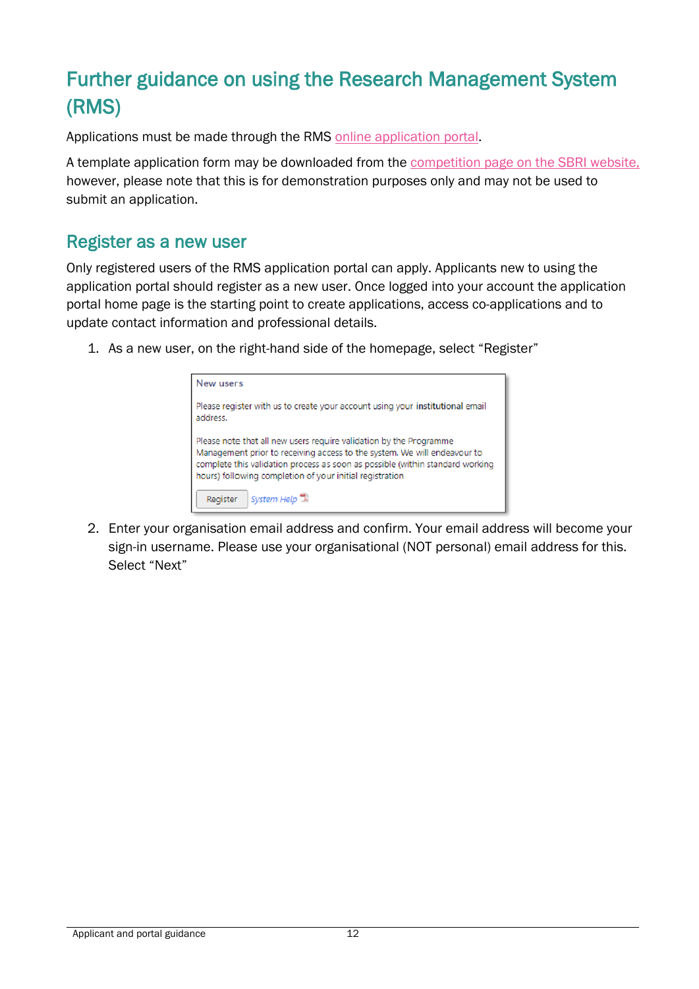# Further guidance on using the Research Management System (RMS)

Applications must be made through the RMS [online application portal.](https://pmo.ccgranttracker.com/)

A template application form may be downloaded from the [competition page on the SBRI website,](https://sbrihealthcare.co.uk/competitions/open-competitions/) however, please note that this is for demonstration purposes only and may not be used to submit an application.

### Register as a new user

Only registered users of the RMS application portal can apply. Applicants new to using the application portal should register as a new user. Once logged into your account the application portal home page is the starting point to create applications, access co-applications and to update contact information and professional details.

1. As a new user, on the right-hand side of the homepage, select "Register"



2. Enter your organisation email address and confirm. Your email address will become your sign-in username. Please use your organisational (NOT personal) email address for this. Select "Next"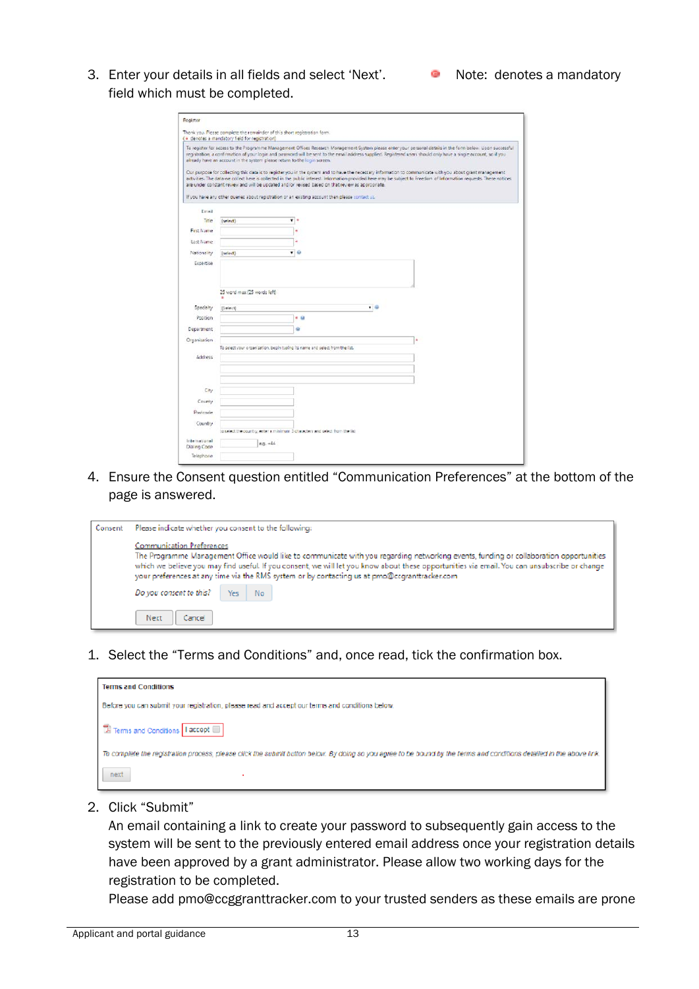Applicant and portal guidance 13

3. Enter your details in all fields and select 'Next'. <br>
In Note: denotes a mandatory field which must be completed.

| Register                  |                                                                                                                              |                                                                                |     |                                                                                                                                                                                                                                                                                                                                     |
|---------------------------|------------------------------------------------------------------------------------------------------------------------------|--------------------------------------------------------------------------------|-----|-------------------------------------------------------------------------------------------------------------------------------------------------------------------------------------------------------------------------------------------------------------------------------------------------------------------------------------|
|                           | Thank you. Please complete the remainder of this short registration form.<br>( · denotes a mandatory field for registration) |                                                                                |     |                                                                                                                                                                                                                                                                                                                                     |
|                           | already have an account in the system please return to the login screen.                                                     |                                                                                |     | To register for access to the Programme Management Offices Research Management System please enter your personal details in the form below. Upon successful<br>registration, a confirmation of your login and password will be sent to the email address supplied. Registered users should only have a single account, so if you    |
|                           | are under constant review and will be updated and/or revised based on that review as appropriate.                            |                                                                                |     | Our purpose for collecting this data is to register you in the system and to have the necessary information to communicate with you about grant management.<br>activities. The data we collect here is collected in the public interest. Information provided here may be subject to Freedom of Information requests. These notices |
| Email                     | If you have any other queries about registration or an existing account then please contact us.                              |                                                                                |     |                                                                                                                                                                                                                                                                                                                                     |
| Title                     | (select)                                                                                                                     | ۰<br>٠                                                                         |     |                                                                                                                                                                                                                                                                                                                                     |
| First Name                |                                                                                                                              |                                                                                |     |                                                                                                                                                                                                                                                                                                                                     |
| Last Name                 |                                                                                                                              | ä                                                                              |     |                                                                                                                                                                                                                                                                                                                                     |
| Nationality               | (select)                                                                                                                     | $\mathbf{v}$ $\mathbf{0}$                                                      |     |                                                                                                                                                                                                                                                                                                                                     |
| Expertise                 |                                                                                                                              |                                                                                |     |                                                                                                                                                                                                                                                                                                                                     |
|                           |                                                                                                                              |                                                                                |     |                                                                                                                                                                                                                                                                                                                                     |
|                           | 25 word max (25 words left)                                                                                                  |                                                                                |     |                                                                                                                                                                                                                                                                                                                                     |
| Specialty                 | (Select)                                                                                                                     |                                                                                | ▼ 田 |                                                                                                                                                                                                                                                                                                                                     |
| Position                  |                                                                                                                              | $-9$                                                                           |     |                                                                                                                                                                                                                                                                                                                                     |
| Department                |                                                                                                                              | ۵                                                                              |     |                                                                                                                                                                                                                                                                                                                                     |
| Organization              |                                                                                                                              |                                                                                |     | ٠                                                                                                                                                                                                                                                                                                                                   |
|                           |                                                                                                                              | To celect your organization, begin tuping its name and select from the list.   |     |                                                                                                                                                                                                                                                                                                                                     |
| <b>Address</b>            |                                                                                                                              |                                                                                |     |                                                                                                                                                                                                                                                                                                                                     |
|                           |                                                                                                                              |                                                                                |     |                                                                                                                                                                                                                                                                                                                                     |
|                           |                                                                                                                              |                                                                                |     |                                                                                                                                                                                                                                                                                                                                     |
| City                      |                                                                                                                              |                                                                                |     |                                                                                                                                                                                                                                                                                                                                     |
| County                    |                                                                                                                              |                                                                                |     |                                                                                                                                                                                                                                                                                                                                     |
| Pastcade                  |                                                                                                                              |                                                                                |     |                                                                                                                                                                                                                                                                                                                                     |
| Country                   |                                                                                                                              | to select the country, writer a minimum 3 characters and select from the fist. |     |                                                                                                                                                                                                                                                                                                                                     |
| International             | $0.0 - 14$                                                                                                                   |                                                                                |     |                                                                                                                                                                                                                                                                                                                                     |
| Dialing Code<br>Telephone |                                                                                                                              |                                                                                |     |                                                                                                                                                                                                                                                                                                                                     |
|                           |                                                                                                                              |                                                                                |     |                                                                                                                                                                                                                                                                                                                                     |

4. Ensure the Consent question entitled "Communication Preferences" at the bottom of the page is answered.

| Consent                                                                                                                                                                                                                                                                                                                                                                                                                      | Please indicate whether you consent to the following: |  |  |  |
|------------------------------------------------------------------------------------------------------------------------------------------------------------------------------------------------------------------------------------------------------------------------------------------------------------------------------------------------------------------------------------------------------------------------------|-------------------------------------------------------|--|--|--|
| <b>Communication Preferences</b><br>The Programme Management Office would like to communicate with you regarding networking events, funding or collaboration opportunities<br>which we believe you may find useful. If you consent, we will let you know about these opportunities via email. You can unsubscribe or change<br>your preferences at any time via the RMS system or by contacting us at pmo@ccgranttracker.com |                                                       |  |  |  |
|                                                                                                                                                                                                                                                                                                                                                                                                                              | Do you consent to this?<br>Yes No                     |  |  |  |
|                                                                                                                                                                                                                                                                                                                                                                                                                              | Next<br>Cancel                                        |  |  |  |

1. Select the "Terms and Conditions" and, once read, tick the confirmation box.

| <b>Terms and Conditions</b>                                                                                                                                           |
|-----------------------------------------------------------------------------------------------------------------------------------------------------------------------|
| Before you can submit your registration, please read and accept our terms and conditions below.                                                                       |
| E Terms and Conditions   I accept                                                                                                                                     |
| To complete the registration process, please click the submit button below. By doing so you agree to be bound by the terms and conditions detailed in the above link. |
| next                                                                                                                                                                  |

2. Click "Submit"

An email containing a link to create your password to subsequently gain access to the system will be sent to the previously entered email address once your registration details have been approved by a grant administrator. Please allow two working days for the registration to be completed.

Please add pmo@ccggranttracker.com to your trusted senders as these emails are prone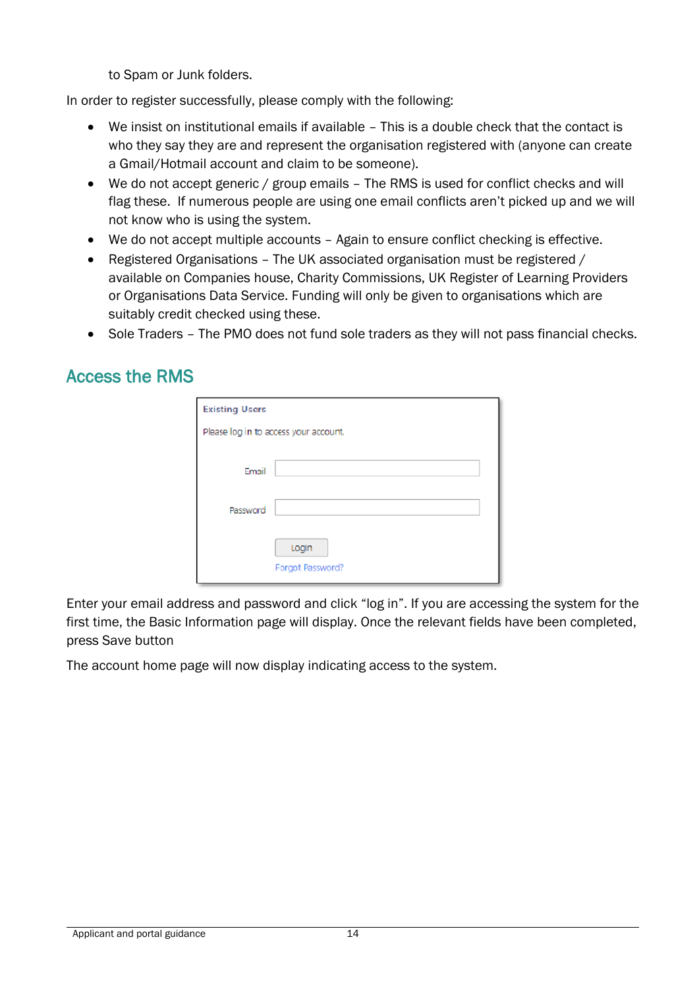to Spam or Junk folders.

In order to register successfully, please comply with the following:

- We insist on institutional emails if available This is a double check that the contact is who they say they are and represent the organisation registered with (anyone can create a Gmail/Hotmail account and claim to be someone).
- We do not accept generic / group emails The RMS is used for conflict checks and will flag these. If numerous people are using one email conflicts aren't picked up and we will not know who is using the system.
- We do not accept multiple accounts Again to ensure conflict checking is effective.
- Registered Organisations The UK associated organisation must be registered / available on Companies house, Charity Commissions, UK Register of Learning Providers or Organisations Data Service. Funding will only be given to organisations which are suitably credit checked using these.
- Sole Traders The PMO does not fund sole traders as they will not pass financial checks.

# Access the RMS

| <b>Existing Users</b>                 |                  |  |  |  |  |
|---------------------------------------|------------------|--|--|--|--|
| Please log in to access your account. |                  |  |  |  |  |
|                                       |                  |  |  |  |  |
| Email                                 |                  |  |  |  |  |
|                                       |                  |  |  |  |  |
| Password                              |                  |  |  |  |  |
|                                       |                  |  |  |  |  |
|                                       | Login            |  |  |  |  |
|                                       | Forgot Password? |  |  |  |  |

Enter your email address and password and click "log in". If you are accessing the system for the first time, the Basic Information page will display. Once the relevant fields have been completed, press Save button

The account home page will now display indicating access to the system.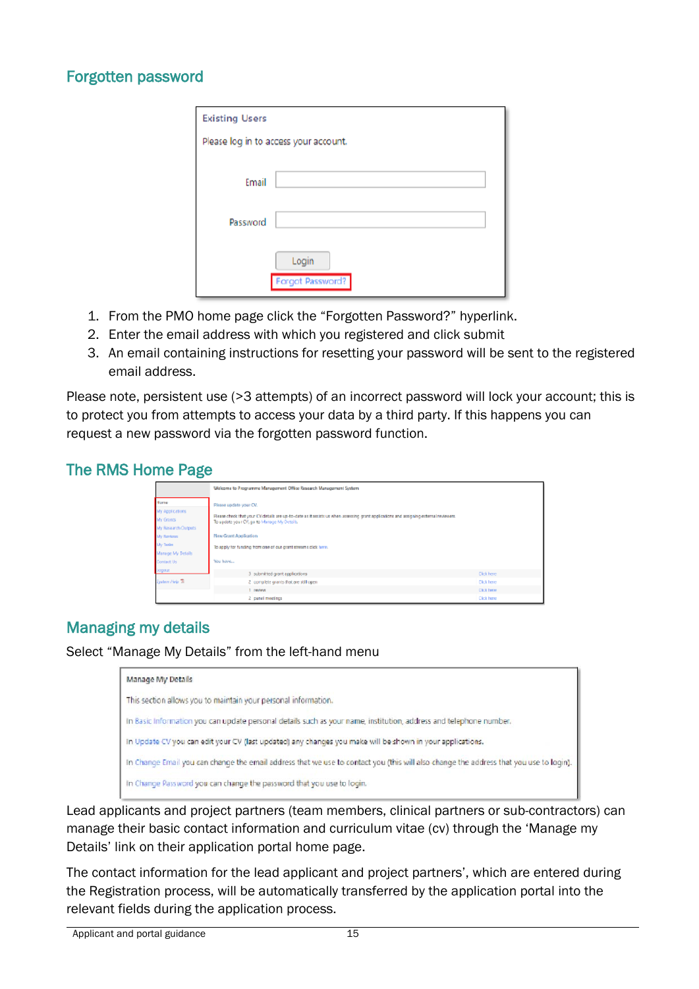#### Forgotten password

| <b>Existing Users</b>                 |                  |  |  |  |
|---------------------------------------|------------------|--|--|--|
| Please log in to access your account. |                  |  |  |  |
|                                       |                  |  |  |  |
| Email                                 |                  |  |  |  |
|                                       |                  |  |  |  |
| Password                              |                  |  |  |  |
|                                       |                  |  |  |  |
|                                       | Login            |  |  |  |
|                                       | Forgot Password? |  |  |  |

- 1. From the PMO home page click the "Forgotten Password?" hyperlink.
- 2. Enter the email address with which you registered and click submit
- 3. An email containing instructions for resetting your password will be sent to the registered email address.

Please note, persistent use (>3 attempts) of an incorrect password will lock your account; this is to protect you from attempts to access your data by a third party. If this happens you can request a new password via the forgotten password function.

#### The RMS Home Page



### Managing my details

Select "Manage My Details" from the left-hand menu

| Manage My Details                                                                                                                      |
|----------------------------------------------------------------------------------------------------------------------------------------|
| This section allows you to maintain your personal information.                                                                         |
| In Basic Information you can update personal details such as your name, institution, address and telephone number.                     |
| In Update CV you can edit your CV (last updated) any changes you make will be shown in your applications.                              |
| In Change Email you can change the email address that we use to contact you (this will also change the address that you use to login). |
| In Change Password you can change the password that you use to login.                                                                  |

Lead applicants and project partners (team members, clinical partners or sub-contractors) can manage their basic contact information and curriculum vitae (cv) through the 'Manage my Details' link on their application portal home page.

The contact information for the lead applicant and project partners', which are entered during the Registration process, will be automatically transferred by the application portal into the relevant fields during the application process.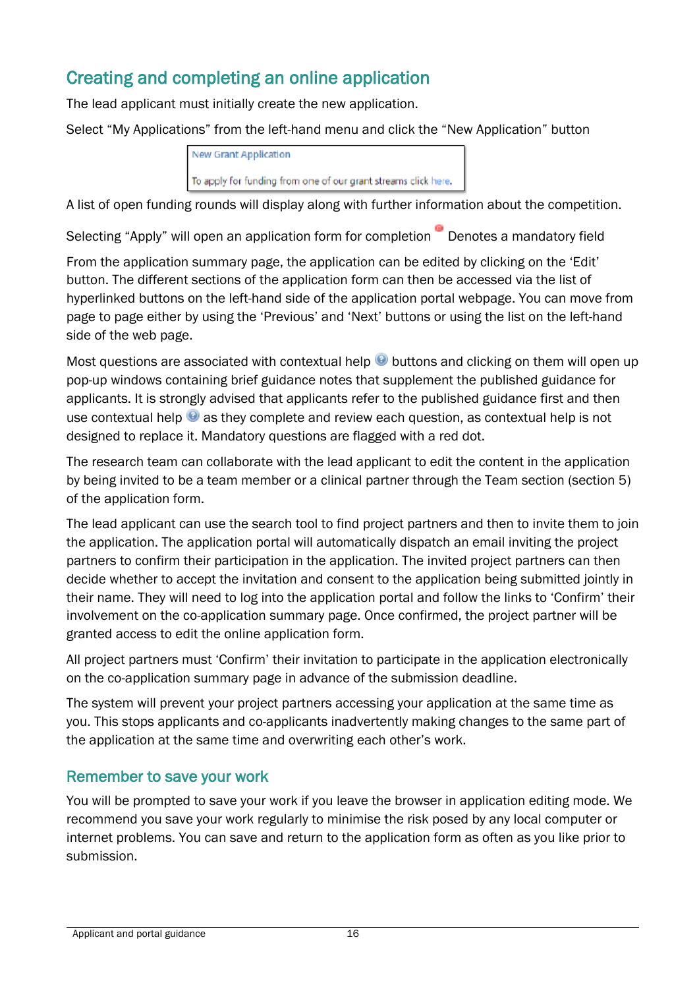# Creating and completing an online application

The lead applicant must initially create the new application.

Select "My Applications" from the left-hand menu and click the "New Application" button

| New Grant Application                                          |  |
|----------------------------------------------------------------|--|
| To apply for funding from one of our grant streams click here. |  |

A list of open funding rounds will display along with further information about the competition.

Selecting "Apply" will open an application form for completion Denotes a mandatory field

From the application summary page, the application can be edited by clicking on the 'Edit' button. The different sections of the application form can then be accessed via the list of hyperlinked buttons on the left-hand side of the application portal webpage. You can move from page to page either by using the 'Previous' and 'Next' buttons or using the list on the left-hand side of the web page.

Most questions are associated with contextual help  $\Theta$  buttons and clicking on them will open up pop-up windows containing brief guidance notes that supplement the published guidance for applicants. It is strongly advised that applicants refer to the published guidance first and then use contextual help  $\bullet$  as they complete and review each question, as contextual help is not designed to replace it. Mandatory questions are flagged with a red dot.

The research team can collaborate with the lead applicant to edit the content in the application by being invited to be a team member or a clinical partner through the Team section (section 5) of the application form.

The lead applicant can use the search tool to find project partners and then to invite them to join the application. The application portal will automatically dispatch an email inviting the project partners to confirm their participation in the application. The invited project partners can then decide whether to accept the invitation and consent to the application being submitted jointly in their name. They will need to log into the application portal and follow the links to 'Confirm' their involvement on the co-application summary page. Once confirmed, the project partner will be granted access to edit the online application form.

All project partners must 'Confirm' their invitation to participate in the application electronically on the co-application summary page in advance of the submission deadline.

The system will prevent your project partners accessing your application at the same time as you. This stops applicants and co-applicants inadvertently making changes to the same part of the application at the same time and overwriting each other's work.

### Remember to save your work

You will be prompted to save your work if you leave the browser in application editing mode. We recommend you save your work regularly to minimise the risk posed by any local computer or internet problems. You can save and return to the application form as often as you like prior to submission.